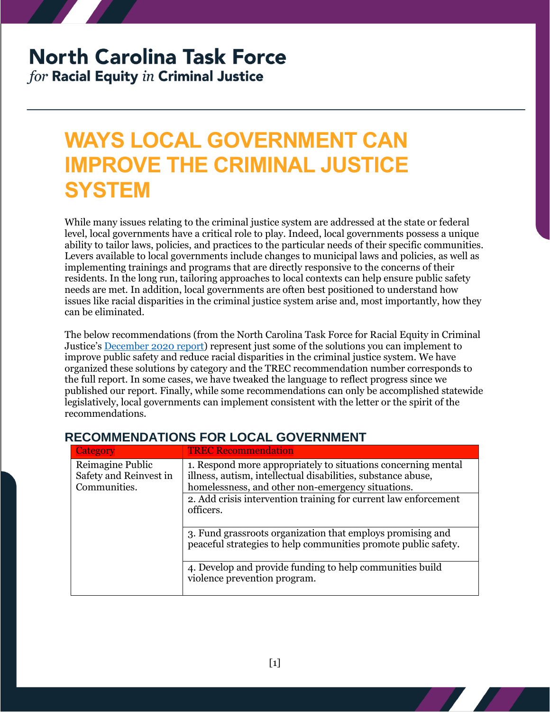# **North Carolina Task Force**

for Racial Equity in Criminal Justice

## **WAYS LOCAL GOVERNMENT CAN IMPROVE THE CRIMINAL JUSTICE SYSTEM**

While many issues relating to the criminal justice system are addressed at the state or federal level, local governments have a critical role to play. Indeed, local governments possess a unique ability to tailor laws, policies, and practices to the particular needs of their specific communities. Levers available to local governments include changes to municipal laws and policies, as well as implementing trainings and programs that are directly responsive to the concerns of their residents. In the long run, tailoring approaches to local contexts can help ensure public safety needs are met. In addition, local governments are often best positioned to understand how issues like racial disparities in the criminal justice system arise and, most importantly, how they can be eliminated.

The below recommendations (from the North Carolina Task Force for Racial Equity in Criminal Justice's [December 2020 report\)](https://ncdoj.gov/wp-content/uploads/2021/02/TRECReportFinal_02262021.pdf) represent just some of the solutions you can implement to improve public safety and reduce racial disparities in the criminal justice system. We have organized these solutions by category and the TREC recommendation number corresponds to the full report. In some cases, we have tweaked the language to reflect progress since we published our report. Finally, while some recommendations can only be accomplished statewide legislatively, local governments can implement consistent with the letter or the spirit of the recommendations.

| <b>Category</b>                                            | <b>TREC Recommendation</b>                                                                                                                                                         |
|------------------------------------------------------------|------------------------------------------------------------------------------------------------------------------------------------------------------------------------------------|
| Reimagine Public<br>Safety and Reinvest in<br>Communities. | 1. Respond more appropriately to situations concerning mental<br>illness, autism, intellectual disabilities, substance abuse,<br>homelessness, and other non-emergency situations. |
|                                                            | 2. Add crisis intervention training for current law enforcement<br>officers.                                                                                                       |
|                                                            | 3. Fund grassroots organization that employs promising and<br>peaceful strategies to help communities promote public safety.                                                       |
|                                                            | 4. Develop and provide funding to help communities build<br>violence prevention program.                                                                                           |

#### **RECOMMENDATIONS FOR LOCAL GOVERNMENT**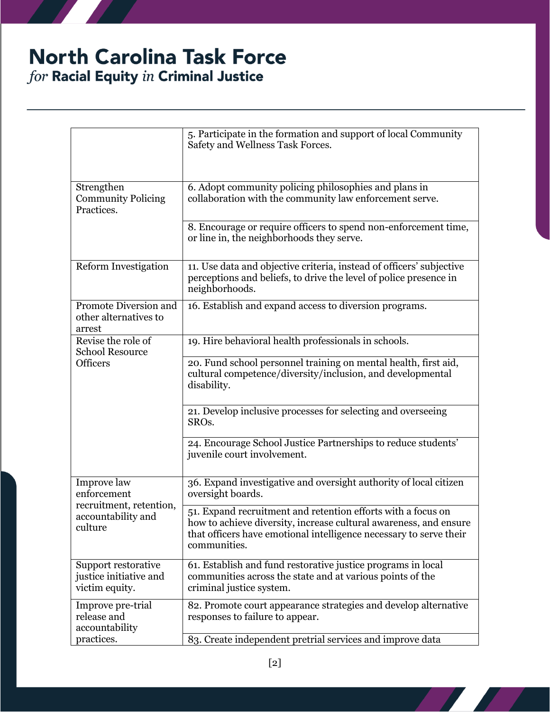## **North Carolina Task Force**  $for$  Racial Equity  $in$  Criminal Justice

|                                                                                        | 5. Participate in the formation and support of local Community<br>Safety and Wellness Task Forces.                                                                                                                      |
|----------------------------------------------------------------------------------------|-------------------------------------------------------------------------------------------------------------------------------------------------------------------------------------------------------------------------|
| Strengthen<br><b>Community Policing</b><br>Practices.                                  | 6. Adopt community policing philosophies and plans in<br>collaboration with the community law enforcement serve.                                                                                                        |
|                                                                                        | 8. Encourage or require officers to spend non-enforcement time,<br>or line in, the neighborhoods they serve.                                                                                                            |
| <b>Reform Investigation</b>                                                            | 11. Use data and objective criteria, instead of officers' subjective<br>perceptions and beliefs, to drive the level of police presence in<br>neighborhoods.                                                             |
| Promote Diversion and<br>other alternatives to<br>arrest                               | 16. Establish and expand access to diversion programs.                                                                                                                                                                  |
| Revise the role of<br><b>School Resource</b><br><b>Officers</b>                        | 19. Hire behavioral health professionals in schools.                                                                                                                                                                    |
|                                                                                        | 20. Fund school personnel training on mental health, first aid,<br>cultural competence/diversity/inclusion, and developmental<br>disability.                                                                            |
|                                                                                        | 21. Develop inclusive processes for selecting and overseeing<br>SRO <sub>s</sub> .                                                                                                                                      |
|                                                                                        | 24. Encourage School Justice Partnerships to reduce students'<br>juvenile court involvement.                                                                                                                            |
| Improve law<br>enforcement<br>recruitment, retention,<br>accountability and<br>culture | 36. Expand investigative and oversight authority of local citizen<br>oversight boards.                                                                                                                                  |
|                                                                                        | 51. Expand recruitment and retention efforts with a focus on<br>how to achieve diversity, increase cultural awareness, and ensure<br>that officers have emotional intelligence necessary to serve their<br>communities. |
| Support restorative<br>justice initiative and<br>victim equity.                        | 61. Establish and fund restorative justice programs in local<br>communities across the state and at various points of the<br>criminal justice system.                                                                   |
| Improve pre-trial<br>release and<br>accountability                                     | 82. Promote court appearance strategies and develop alternative<br>responses to failure to appear.                                                                                                                      |
| practices.                                                                             | 83. Create independent pretrial services and improve data                                                                                                                                                               |

**All Street**